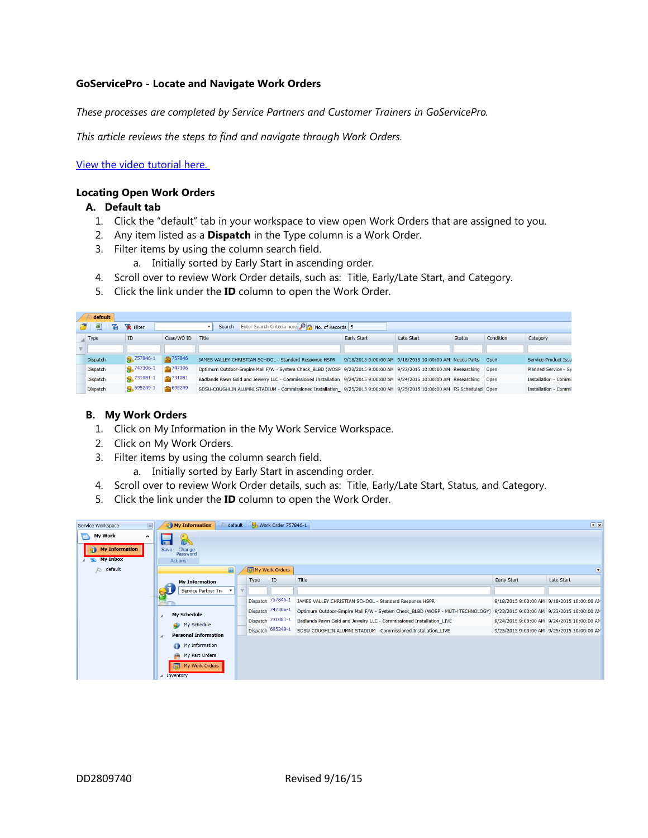# **GoServicePro - Locate and Navigate Work Orders**

*These processes are completed by Service Partners and Customer Trainers in GoServicePro.*

*This article reviews the steps to find and navigate through Work Orders.*

[View the video tutorial here.](http://www.daktronics.com/en-us/video-gallery/GoServicePro-Locate-and-Navigate-Work-Orders)

### **Locating Open Work Orders**

# **A. Default tab**

- 1. Click the "default" tab in your workspace to view open Work Orders that are assigned to you.
- 2. Any item listed as a **Dispatch** in the Type column is a Work Order.
- 3. Filter items by using the column search field.
	- a. Initially sorted by Early Start in ascending order.
- 4. Scroll over to review Work Order details, such as: Title, Early/Late Start, and Category.
- 5. Click the link under the **ID** column to open the Work Order.

| default         |                       |                        |                                                                                                                            |             |                                                             |               |           |                             |
|-----------------|-----------------------|------------------------|----------------------------------------------------------------------------------------------------------------------------|-------------|-------------------------------------------------------------|---------------|-----------|-----------------------------|
| 톅<br>۱ā         | <b>X</b> Filter       |                        | Enter Search Criteria here <b>P</b> No. of Records 5<br>Search                                                             |             |                                                             |               |           |                             |
| Type            | ID.                   | Case/WO ID             | Title                                                                                                                      | Early Start | Late Start                                                  | <b>Status</b> | Condition | Category                    |
|                 |                       |                        |                                                                                                                            |             |                                                             |               |           |                             |
| <b>Dispatch</b> | $\sqrt{Q_c}$ 757846-1 | $\frac{1}{200}$ 757846 | JAMES VALLEY CHRISTIAN SCHOOL - Standard Response HSPR                                                                     |             | 9/18/2015 9:00:00 AM 9/18/2015 10:00:00 AM Needs Parts Open |               |           | Service-Product Issu        |
| Dispatch        | 2.747306-1            | $\frac{1}{2}$ 747306   | Optimum Outdoor-Empire Mall F/W - System Check BLBD (WOSP 9/23/2015 9:00:00 AM 9/23/2015 10:00:00 AM Researching Open      |             |                                                             |               |           | Planned Service - Sy        |
| Dispatch        | 2.731081-1            | $\frac{1}{20}$ 731081  | Badlands Pawn Gold and Jewelry LLC - Commissioned Installation 9/24/2015 9:00:00 AM 9/24/2015 10:00:00 AM Researching Open |             |                                                             |               |           | <b>Installation - Commi</b> |
| Dispatch        | € 695249-1            | $-695249$              | SDSU-COUGHLIN ALUMNI STADIUM - Commissioned Installation_ 9/25/2015 9:00:00 AM 9/25/2015 10:00:00 AM FS Scheduled Open     |             |                                                             |               |           | <b>Installation - Commi</b> |

### **B. My Work Orders**

- 1. Click on My Information in the My Work Service Workspace.
- 2. Click on My Work Orders.
- 3. Filter items by using the column search field.
	- a. Initially sorted by Early Start in ascending order.
- 4. Scroll over to review Work Order details, such as: Title, Early/Late Start, Status, and Category.
- 5. Click the link under the **ID** column to open the Work Order.

| Service Workspace                                                                                         | $\boxed{\Box}$                                           | My Information                                                                  |                |      | default 8 Work Order 757846-1 |                                                                              |             | $\nabla \mathbf{x}$                        |
|-----------------------------------------------------------------------------------------------------------|----------------------------------------------------------|---------------------------------------------------------------------------------|----------------|------|-------------------------------|------------------------------------------------------------------------------|-------------|--------------------------------------------|
| <b>My Work</b><br>$\mathbf{\mathbb{Z}}$<br><b>My Information</b><br>RD.<br>$\overline{A}$ <b>My Inbox</b> | $\hat{\phantom{a}}$<br>$\overline{\blacksquare}$<br>Save | $\sigma$<br>盈<br>Change<br>Password<br>Actions                                  |                |      |                               |                                                                              |             |                                            |
| <b>A</b> default                                                                                          |                                                          | 凬                                                                               |                |      | My Work Orders                |                                                                              |             | O                                          |
|                                                                                                           |                                                          | <b>My Information</b>                                                           |                | Type | ID                            | Title                                                                        | Early Start | Late Start                                 |
|                                                                                                           |                                                          | Service Partner Tra                                                             | $\overline{v}$ |      |                               |                                                                              |             |                                            |
|                                                                                                           |                                                          |                                                                                 |                |      | Dispatch 757846-1             | JAMES VALLEY CHRISTIAN SCHOOL - Standard Response HSPR                       |             | 9/18/2015 9:00:00 AM 9/18/2015 10:00:00 AM |
|                                                                                                           |                                                          | <b>My Schedule</b>                                                              |                |      | Dispatch 747306-1             | Optimum Outdoor-Empire Mall F/W - System Check_BLBD (WOSP - MUTH TECHNOLOGY) |             | 9/23/2015 9:00:00 AM 9/23/2015 10:00:00 AM |
|                                                                                                           |                                                          | My Schedule                                                                     |                |      | Dispatch 731081-1             | Badlands Pawn Gold and Jewelry LLC - Commissioned Installation_LIVE          |             | 9/24/2015 9:00:00 AM 9/24/2015 10:00:00 AM |
|                                                                                                           |                                                          | <b>Personal Information</b>                                                     |                |      | Dispatch 695249-1             | SDSU-COUGHLIN ALUMNI STADIUM - Commissioned Installation LIVE                |             | 9/25/2015 9:00:00 AM 9/25/2015 10:00:00 AM |
|                                                                                                           |                                                          | My Information<br>My Part Orders<br>論<br><b>D</b> My Work Orders<br>⊿ Inventory |                |      |                               |                                                                              |             |                                            |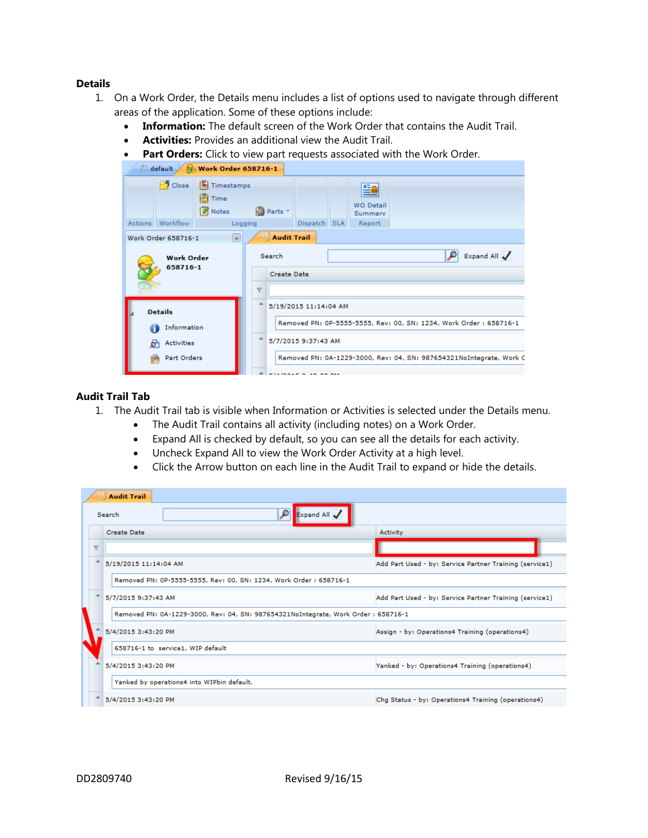### **Details**

- 1. On a Work Order, the Details menu includes a list of options used to navigate through different areas of the application. Some of these options include:
	- **Information:** The default screen of the Work Order that contains the Audit Trail.
	- **Activities:** Provides an additional view the Audit Trail.
	- **Part Orders:** Click to view part requests associated with the Work Order.

|   | default                                                    | <b>Work Order 658716-1</b>           |                         |                                                 |  |                                  |                                                                                                                                           |  |  |
|---|------------------------------------------------------------|--------------------------------------|-------------------------|-------------------------------------------------|--|----------------------------------|-------------------------------------------------------------------------------------------------------------------------------------------|--|--|
|   | P <sup>5</sup> Close                                       | Timestamps<br><b>O</b> Time<br>Notes | Parts *                 |                                                 |  | 警<br><b>WO Detail</b><br>Summary |                                                                                                                                           |  |  |
|   | Actions Workflow                                           | Logging                              |                         | Dispatch SLA                                    |  | Report                           |                                                                                                                                           |  |  |
|   | Work Order 658716-1                                        | $\Box$                               |                         | Audit Trail                                     |  |                                  |                                                                                                                                           |  |  |
|   | <b>Work Order</b><br>658716-1                              |                                      | $\overline{\mathbf{Y}}$ | Expand All<br>₽<br>Search<br><b>Create Date</b> |  |                                  |                                                                                                                                           |  |  |
| B | <b>Details</b><br>Information<br>Activities<br>Part Orders |                                      | ᅀ                       | 5/19/2015 11:14:04 AM<br>5/7/2015 9:37:43 AM    |  |                                  | Removed PN: 0P-5555-5555, Rev: 00, SN: 1234, Work Order : 658716-1<br>Removed PN: 0A-1229-3000, Rev: 04, SN: 987654321NoIntegrate, Work C |  |  |
|   |                                                            |                                      |                         | -----------                                     |  |                                  |                                                                                                                                           |  |  |

# **Audit Trail Tab**

- 1. The Audit Trail tab is visible when Information or Activities is selected under the Details menu.
	- The Audit Trail contains all activity (including notes) on a Work Order.
	- Expand All is checked by default, so you can see all the details for each activity.
	- Uncheck Expand All to view the Work Order Activity at a high level.
	- Click the Arrow button on each line in the Audit Trail to expand or hide the details.

|                         | Audit Trail                                                                       |                                                         |  |  |  |  |  |  |  |  |
|-------------------------|-----------------------------------------------------------------------------------|---------------------------------------------------------|--|--|--|--|--|--|--|--|
|                         | Expand All<br>$\mathcal{L}$<br>Search                                             |                                                         |  |  |  |  |  |  |  |  |
|                         | <b>Create Date</b>                                                                | Activity                                                |  |  |  |  |  |  |  |  |
| $\overline{\mathbf{v}}$ |                                                                                   |                                                         |  |  |  |  |  |  |  |  |
| ۸                       | 5/19/2015 11:14:04 AM                                                             | Add Part Used - by: Service Partner Training (service1) |  |  |  |  |  |  |  |  |
|                         | Removed PN: 0P-5555-5555, Rev: 00, SN: 1234, Work Order: 658716-1                 |                                                         |  |  |  |  |  |  |  |  |
| ┻                       | 5/7/2015 9:37:43 AM                                                               | Add Part Used - by: Service Partner Training (service1) |  |  |  |  |  |  |  |  |
|                         | Removed PN: 0A-1229-3000, Rev: 04, SN: 987654321NoIntegrate, Work Order: 658716-1 |                                                         |  |  |  |  |  |  |  |  |
|                         | 5/4/2015 3:43:20 PM                                                               | Assign - by: Operations4 Training (operations4)         |  |  |  |  |  |  |  |  |
|                         | 658716-1 to service1, WIP default                                                 |                                                         |  |  |  |  |  |  |  |  |
|                         | 5/4/2015 3:43:20 PM                                                               | Yanked - by: Operations4 Training (operations4)         |  |  |  |  |  |  |  |  |
|                         | Yanked by operations4 into WIPbin default.                                        |                                                         |  |  |  |  |  |  |  |  |
|                         | 5/4/2015 3:43:20 PM                                                               | Chg Status - by: Operations4 Training (operations4)     |  |  |  |  |  |  |  |  |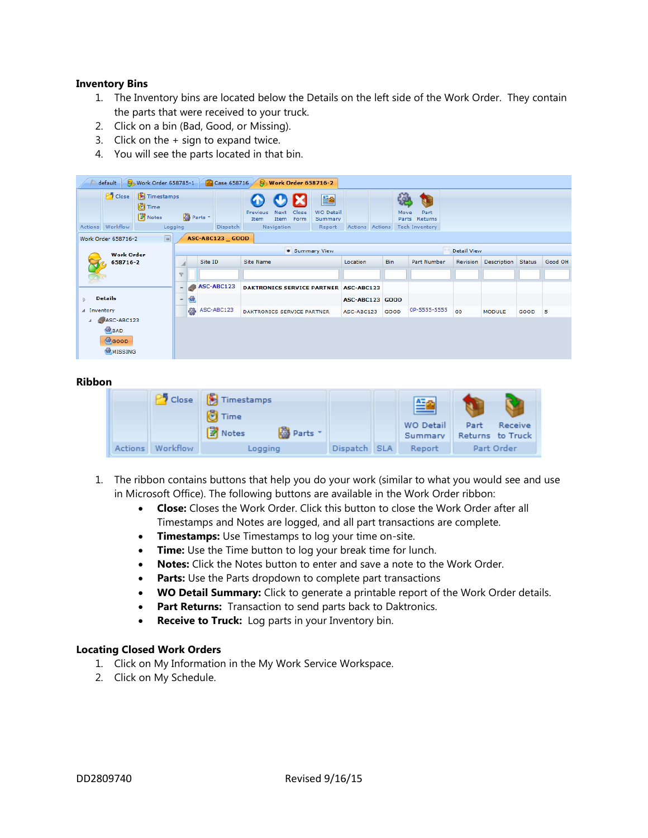### **Inventory Bins**

- 1. The Inventory bins are located below the Details on the left side of the Work Order. They contain the parts that were received to your truck.
- 2. Click on a bin (Bad, Good, or Missing).
- 3. Click on the + sign to expand twice.
- 4. You will see the parts located in that bin.

|                                                                                                                                   | Case 658716<br><b>S</b> Work Order 658785-1<br>default<br><b>Work Order 658716-2</b> |  |                          |                  |                            |               |                                            |                 |  |                                       |                                                |  |             |              |             |               |         |   |
|-----------------------------------------------------------------------------------------------------------------------------------|--------------------------------------------------------------------------------------|--|--------------------------|------------------|----------------------------|---------------|--------------------------------------------|-----------------|--|---------------------------------------|------------------------------------------------|--|-------------|--------------|-------------|---------------|---------|---|
| $P$ Close<br>Timestamps<br><b>O</b> Time<br><b>Z</b> Notes<br><b>B</b> Parts<br>Workflow<br>Actions<br>Logging<br><b>Dispatch</b> |                                                                                      |  |                          | Previous<br>Item | Next<br>Item<br>Navigation | Close<br>Form | 曁<br><b>WO Detail</b><br>Summary<br>Report | Actions Actions |  | Move                                  | Part<br>Parts Returns<br><b>Tech Inventory</b> |  |             |              |             |               |         |   |
| $\boxed{\blacksquare}$<br><b>ASC-ABC123 GOOD</b><br>Work Order 658716-2                                                           |                                                                                      |  |                          |                  |                            |               |                                            |                 |  |                                       |                                                |  |             |              |             |               |         |   |
|                                                                                                                                   | <b>Work Order</b>                                                                    |  |                          |                  |                            |               |                                            |                 |  | <b>Summary View</b>                   |                                                |  |             |              | Detail View |               |         |   |
|                                                                                                                                   | 658716-2                                                                             |  |                          |                  | Site ID                    |               | <b>Site Name</b>                           |                 |  | Location                              | Bin                                            |  | Part Number | Revision     | Description | Status        | Good OH |   |
|                                                                                                                                   |                                                                                      |  | $\triangledown$          |                  |                            |               |                                            |                 |  |                                       |                                                |  |             |              |             |               |         |   |
|                                                                                                                                   |                                                                                      |  |                          |                  |                            | ASC-ABC123    |                                            |                 |  | DAKTRONICS SERVICE PARTNER ASC-ABC123 |                                                |  |             |              |             |               |         |   |
|                                                                                                                                   | <b>Details</b>                                                                       |  | $\overline{\phantom{0}}$ | 匈                |                            |               |                                            |                 |  |                                       | ASC-ABC123 GOOD                                |  |             |              |             |               |         |   |
| A Inventory                                                                                                                       |                                                                                      |  |                          | 發                |                            | ASC-ABC123    | DAKTRONICS SERVICE PARTNER                 |                 |  |                                       | ASC-ABC123                                     |  | GOOD        | 0P-5555-5555 | 00          | <b>MODULE</b> | GOOD    | 5 |
| $ASC-ABC123$                                                                                                                      |                                                                                      |  |                          |                  |                            |               |                                            |                 |  |                                       |                                                |  |             |              |             |               |         |   |
| BAD<br><b><i><u>Cocop</u></i></b><br>MISSING                                                                                      |                                                                                      |  |                          |                  |                            |               |                                            |                 |  |                                       |                                                |  |             |              |             |               |         |   |

#### **Ribbon**

|  |                  | Close   Timestamps<br><b>O</b> Time |              | 兰鱼                   |                                     |
|--|------------------|-------------------------------------|--------------|----------------------|-------------------------------------|
|  |                  | <b>Z</b> Notes<br><b>B</b> Parts    |              | WO Detail<br>Summary | Part<br>Receive<br>Returns to Truck |
|  | Actions Workflow | Logging                             | Dispatch SLA | Report               | Part Order                          |

- 1. The ribbon contains buttons that help you do your work (similar to what you would see and use in Microsoft Office). The following buttons are available in the Work Order ribbon:
	- **Close:** Closes the Work Order. Click this button to close the Work Order after all Timestamps and Notes are logged, and all part transactions are complete.
	- **Timestamps:** Use Timestamps to log your time on-site.
	- **Time:** Use the Time button to log your break time for lunch.
	- **Notes:** Click the Notes button to enter and save a note to the Work Order.
	- **Parts:** Use the Parts dropdown to complete part transactions
	- **WO Detail Summary:** Click to generate a printable report of the Work Order details.
	- Part Returns: Transaction to send parts back to Daktronics.
	- **Receive to Truck:** Log parts in your Inventory bin.

#### **Locating Closed Work Orders**

- 1. Click on My Information in the My Work Service Workspace.
- 2. Click on My Schedule.